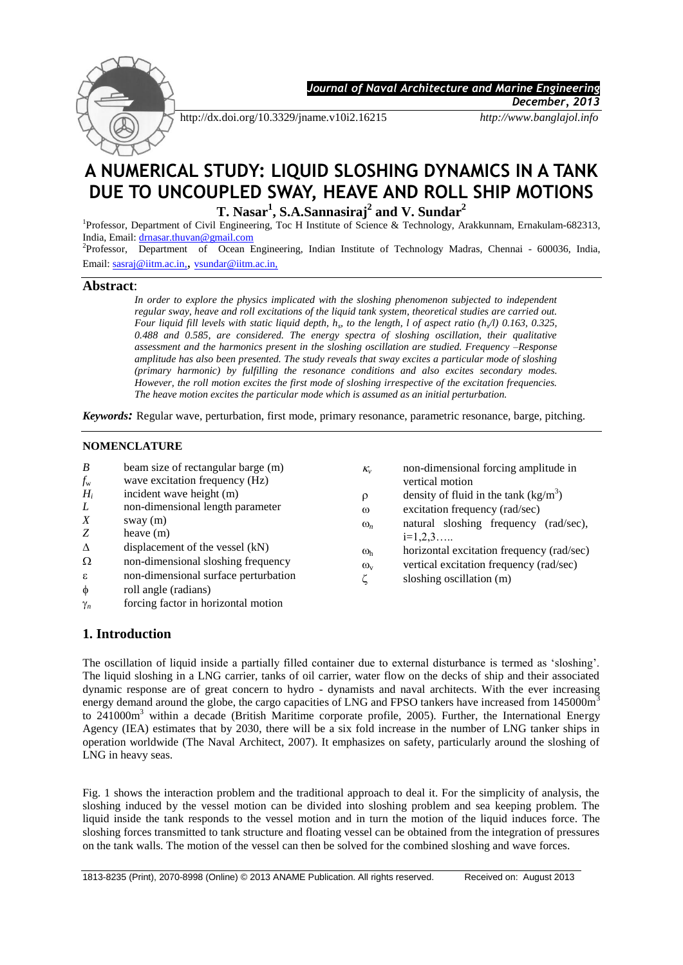

 *Journal of Naval Architecture and Marine Engineering* 

*December, 2013*

http://dx.doi.org/10.3329/jname.v10i2.16215 *http://www.banglajol.info*

# **A NUMERICAL STUDY: LIQUID SLOSHING DYNAMICS IN A TANK DUE TO UNCOUPLED SWAY, HEAVE AND ROLL SHIP MOTIONS**

<sup>1</sup>Professor, Department of Civil Engineering, Toc H Institute of Science & Technology, Arakkunnam, Ernakulam-682313, India, Email: [drnasar.thuvan@gmail.com](mailto:drnasar.thuvan@gmail.com)

2 Professor, Department of Ocean Engineering, Indian Institute of Technology Madras*,* Chennai - 600036, India, Email: [sasraj@iitm.ac.in,](mailto:sasraj@iitm.ac.in,), [vsundar@iitm.ac.in,](mailto:vsundar@iitm.ac.in,)

## **Abstract**:

In order to explore the physics implicated with the sloshing phenomenon subjected to independent *regular sway, heave and roll excitations of the liquid tank system, theoretical studies are carried out. Four liquid fill levels with static liquid depth, h<sub><i>s*</sub> to the length, l of aspect ratio (h<sub>*s*</sub>(l) 0.163, 0.325, *0.488 and 0.585, are considered. The energy spectra of sloshing oscillation, their qualitative assessment and the harmonics present in the sloshing oscillation are studied. Frequency –Response amplitude has also been presented. The study reveals that sway excites a particular mode of sloshing (primary harmonic) by fulfilling the resonance conditions and also excites secondary modes. However, the roll motion excites the first mode of sloshing irrespective of the excitation frequencies. The heave motion excites the particular mode which is assumed as an initial perturbation.* 

*Keywords:* Regular wave, perturbation, first mode, primary resonance, parametric resonance, barge, pitching.

## **NOMENCLATURE**

| $\boldsymbol{B}$<br>$f_{\rm w}$<br>$H_i$<br>L<br>X<br>Z<br>$\Delta$<br>$\Omega$<br>ε<br>$\phi$<br>$\gamma_n$ | beam size of rectangular barge (m)<br>wave excitation frequency (Hz)<br>incident wave height (m)<br>non-dimensional length parameter<br>sway $(m)$<br>heave $(m)$<br>displacement of the vessel $(kN)$<br>non-dimensional sloshing frequency<br>non-dimensional surface perturbation<br>roll angle (radians)<br>forcing factor in horizontal motion | $K_{v}$<br>$\rho$<br>$\omega$<br>$\omega_{n}$<br>$\omega_{h}$<br>$\omega_{v}$ | non-dimensional forcing amplitude in<br>vertical motion<br>density of fluid in the tank $(kg/m3)$<br>excitation frequency (rad/sec)<br>natural sloshing frequency (rad/sec),<br>$i=1,2,3,$<br>horizontal excitation frequency (rad/sec)<br>vertical excitation frequency (rad/sec)<br>sloshing oscillation (m) |
|--------------------------------------------------------------------------------------------------------------|-----------------------------------------------------------------------------------------------------------------------------------------------------------------------------------------------------------------------------------------------------------------------------------------------------------------------------------------------------|-------------------------------------------------------------------------------|----------------------------------------------------------------------------------------------------------------------------------------------------------------------------------------------------------------------------------------------------------------------------------------------------------------|
|--------------------------------------------------------------------------------------------------------------|-----------------------------------------------------------------------------------------------------------------------------------------------------------------------------------------------------------------------------------------------------------------------------------------------------------------------------------------------------|-------------------------------------------------------------------------------|----------------------------------------------------------------------------------------------------------------------------------------------------------------------------------------------------------------------------------------------------------------------------------------------------------------|

# **1. Introduction**

The oscillation of liquid inside a partially filled container due to external disturbance is termed as 'sloshing'. The liquid sloshing in a LNG carrier, tanks of oil carrier, water flow on the decks of ship and their associated dynamic response are of great concern to hydro - dynamists and naval architects. With the ever increasing energy demand around the globe, the cargo capacities of LNG and FPSO tankers have increased from 145000m<sup>3</sup> to  $241000m<sup>3</sup>$  within a decade (British Maritime corporate profile, 2005). Further, the International Energy Agency (IEA) estimates that by 2030, there will be a six fold increase in the number of LNG tanker ships in operation worldwide (The Naval Architect, 2007). It emphasizes on safety, particularly around the sloshing of LNG in heavy seas.

Fig. 1 shows the interaction problem and the traditional approach to deal it. For the simplicity of analysis, the sloshing induced by the vessel motion can be divided into sloshing problem and sea keeping problem. The liquid inside the tank responds to the vessel motion and in turn the motion of the liquid induces force. The sloshing forces transmitted to tank structure and floating vessel can be obtained from the integration of pressures on the tank walls. The motion of the vessel can then be solved for the combined sloshing and wave forces.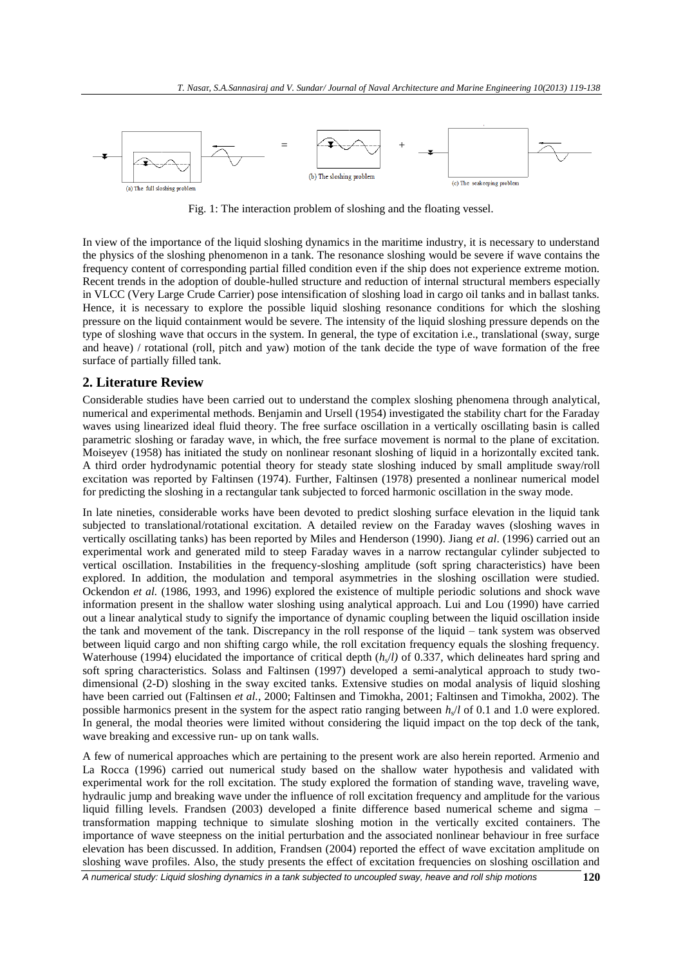

Fig. 1: The interaction problem of sloshing and the floating vessel.

In view of the importance of the liquid sloshing dynamics in the maritime industry, it is necessary to understand the physics of the sloshing phenomenon in a tank. The resonance sloshing would be severe if wave contains the frequency content of corresponding partial filled condition even if the ship does not experience extreme motion. Recent trends in the adoption of double-hulled structure and reduction of internal structural members especially in VLCC (Very Large Crude Carrier) pose intensification of sloshing load in cargo oil tanks and in ballast tanks. Hence, it is necessary to explore the possible liquid sloshing resonance conditions for which the sloshing pressure on the liquid containment would be severe. The intensity of the liquid sloshing pressure depends on the type of sloshing wave that occurs in the system. In general, the type of excitation i.e., translational (sway, surge and heave) / rotational (roll, pitch and yaw) motion of the tank decide the type of wave formation of the free surface of partially filled tank.

# **2. Literature Review**

Considerable studies have been carried out to understand the complex sloshing phenomena through analytical, numerical and experimental methods. Benjamin and Ursell (1954) investigated the stability chart for the Faraday waves using linearized ideal fluid theory. The free surface oscillation in a vertically oscillating basin is called parametric sloshing or faraday wave, in which, the free surface movement is normal to the plane of excitation. Moiseyev (1958) has initiated the study on nonlinear resonant sloshing of liquid in a horizontally excited tank. A third order hydrodynamic potential theory for steady state sloshing induced by small amplitude sway/roll excitation was reported by Faltinsen (1974). Further, Faltinsen (1978) presented a nonlinear numerical model for predicting the sloshing in a rectangular tank subjected to forced harmonic oscillation in the sway mode.

In late nineties, considerable works have been devoted to predict sloshing surface elevation in the liquid tank subjected to translational/rotational excitation. A detailed review on the Faraday waves (sloshing waves in vertically oscillating tanks) has been reported by Miles and Henderson (1990). Jiang *et al*. (1996) carried out an experimental work and generated mild to steep Faraday waves in a narrow rectangular cylinder subjected to vertical oscillation. Instabilities in the frequency-sloshing amplitude (soft spring characteristics) have been explored. In addition, the modulation and temporal asymmetries in the sloshing oscillation were studied. Ockendon *et al.* (1986, 1993, and 1996) explored the existence of multiple periodic solutions and shock wave information present in the shallow water sloshing using analytical approach. Lui and Lou (1990) have carried out a linear analytical study to signify the importance of dynamic coupling between the liquid oscillation inside the tank and movement of the tank. Discrepancy in the roll response of the liquid – tank system was observed between liquid cargo and non shifting cargo while, the roll excitation frequency equals the sloshing frequency. Waterhouse (1994) elucidated the importance of critical depth  $(h_s/l)$  of 0.337, which delineates hard spring and soft spring characteristics. Solass and Faltinsen (1997) developed a semi-analytical approach to study twodimensional (2-D) sloshing in the sway excited tanks. Extensive studies on modal analysis of liquid sloshing have been carried out (Faltinsen *et al.*, 2000; Faltinsen and Timokha, 2001; Faltinsen and Timokha, 2002). The possible harmonics present in the system for the aspect ratio ranging between  $h_s/l$  of 0.1 and 1.0 were explored. In general, the modal theories were limited without considering the liquid impact on the top deck of the tank, wave breaking and excessive run- up on tank walls.

A few of numerical approaches which are pertaining to the present work are also herein reported. Armenio and La Rocca (1996) carried out numerical study based on the shallow water hypothesis and validated with experimental work for the roll excitation. The study explored the formation of standing wave, traveling wave, hydraulic jump and breaking wave under the influence of roll excitation frequency and amplitude for the various liquid filling levels. Frandsen (2003) developed a finite difference based numerical scheme and sigma – transformation mapping technique to simulate sloshing motion in the vertically excited containers. The importance of wave steepness on the initial perturbation and the associated nonlinear behaviour in free surface elevation has been discussed. In addition, Frandsen (2004) reported the effect of wave excitation amplitude on sloshing wave profiles. Also, the study presents the effect of excitation frequencies on sloshing oscillation and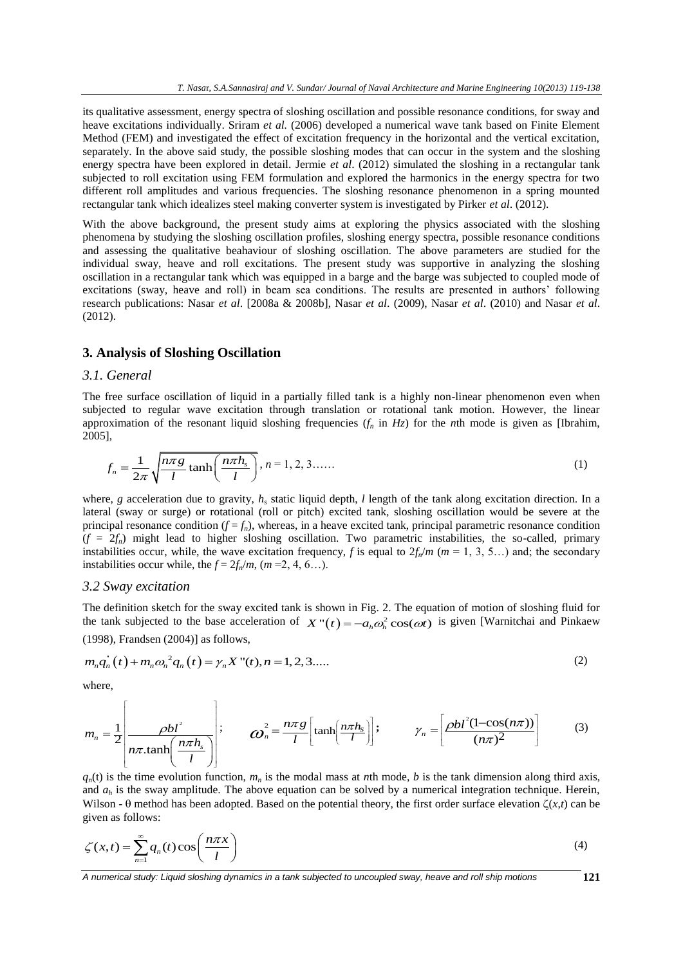its qualitative assessment, energy spectra of sloshing oscillation and possible resonance conditions, for sway and heave excitations individually. Sriram *et al.* (2006) developed a numerical wave tank based on Finite Element Method (FEM) and investigated the effect of excitation frequency in the horizontal and the vertical excitation, separately. In the above said study, the possible sloshing modes that can occur in the system and the sloshing energy spectra have been explored in detail. Jermie *et al*. (2012) simulated the sloshing in a rectangular tank subjected to roll excitation using FEM formulation and explored the harmonics in the energy spectra for two different roll amplitudes and various frequencies. The sloshing resonance phenomenon in a spring mounted rectangular tank which idealizes steel making converter system is investigated by Pirker *et al*. (2012).

With the above background, the present study aims at exploring the physics associated with the sloshing phenomena by studying the sloshing oscillation profiles, sloshing energy spectra, possible resonance conditions and assessing the qualitative beahaviour of sloshing oscillation. The above parameters are studied for the individual sway, heave and roll excitations. The present study was supportive in analyzing the sloshing oscillation in a rectangular tank which was equipped in a barge and the barge was subjected to coupled mode of excitations (sway, heave and roll) in beam sea conditions. The results are presented in authors' following research publications: Nasar *et al*. [2008a & 2008b], Nasar *et al*. (2009), Nasar *et al*. (2010) and Nasar *et al*. (2012).

## **3. Analysis of Sloshing Oscillation**

## *3.1. General*

The free surface oscillation of liquid in a partially filled tank is a highly non-linear phenomenon even when subjected to regular wave excitation through translation or rotational tank motion. However, the linear approximation of the resonant liquid sloshing frequencies  $(f_n$  in  $Hz$ ) for the *n*th mode is given as [Ibrahim, 2005],

$$
f_n = \frac{1}{2\pi} \sqrt{\frac{n\pi g}{l} \tanh\left(\frac{n\pi h_s}{l}\right)}, n = 1, 2, 3, \dots
$$
 (1)

where, g acceleration due to gravity,  $h<sub>s</sub>$  static liquid depth, *l* length of the tank along excitation direction. In a lateral (sway or surge) or rotational (roll or pitch) excited tank, sloshing oscillation would be severe at the principal resonance condition  $(f = f_n)$ , whereas, in a heave excited tank, principal parametric resonance condition  $(f = 2f_n)$  might lead to higher sloshing oscillation. Two parametric instabilities, the so-called, primary instabilities occur, while, the wave excitation frequency, *f* is equal to  $2f_n/m$  ( $m = 1, 3, 5...$ ) and; the secondary instabilities occur while, the  $f = 2f_n/m$ ,  $(m = 2, 4, 6...)$ .

## *3.2 Sway excitation*

The definition sketch for the sway excited tank is shown in Fig. 2. The equation of motion of sloshing fluid for the tank subjected to the base acceleration of  $X''(t) = -a_h \omega_h^2 \cos(\omega t)$  is given [Warnitchai and Pinkaew

(1998), Frandsen (2004)] as follows,  
\n
$$
m_n q_n^{(t)} + m_n \omega_n^2 q_n(t) = \gamma_n X''(t), n = 1, 2, 3, ...
$$
\n(2)

where,

$$
m_n = \frac{1}{2} \left[ \frac{\rho b l^2}{n \pi . \tanh\left(\frac{n \pi h_s}{l}\right)} \right]; \qquad \mathbf{Q}_n^2 = \frac{n \pi g}{l} \left[ \tanh\left(\frac{n \pi h_s}{l}\right) \right]; \qquad \gamma_n = \left[ \frac{\rho b l^2 (1 - \cos(n \pi))}{(n \pi)^2} \right] \tag{3}
$$

 $q_n(t)$  is the time evolution function,  $m_n$  is the modal mass at *n*th mode, *b* is the tank dimension along third axis, and  $a_h$  is the sway amplitude. The above equation can be solved by a numerical integration technique. Herein, Wilson -  $\theta$  method has been adopted. Based on the potential theory, the first order surface elevation  $\zeta(x,t)$  can be given as follows:

$$
\zeta(x,t) = \sum_{n=1}^{\infty} q_n(t) \cos\left(\frac{n\pi x}{l}\right)
$$
\n(4)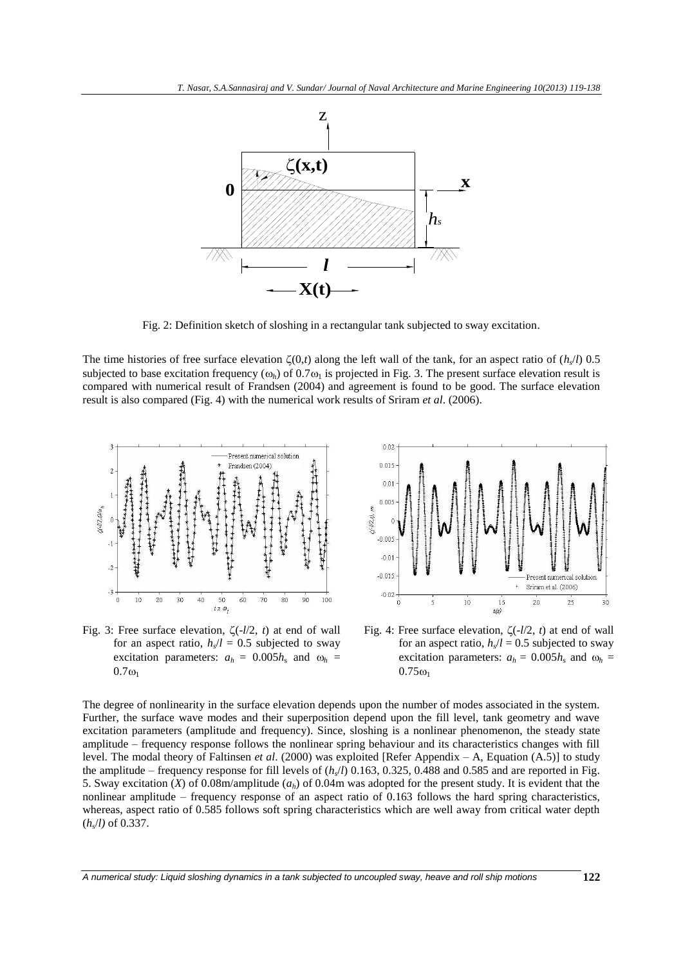

Fig. 2: Definition sketch of sloshing in a rectangular tank subjected to sway excitation.

The time histories of free surface elevation  $\zeta(0,t)$  along the left wall of the tank, for an aspect ratio of  $(h_s/l)$  0.5 subjected to base excitation frequency  $(\omega_h)$  of 0.7 $\omega_1$  is projected in Fig. 3. The present surface elevation result is compared with numerical result of Frandsen (2004) and agreement is found to be good. The surface elevation result is also compared (Fig. 4) with the numerical work results of Sriram *et al*. (2006).



Fig. 3: Free surface elevation,  $\zeta(-l/2, t)$  at end of wall for an aspect ratio,  $h_s/l = 0.5$  subjected to sway excitation parameters:  $a_h = 0.005h_s$  and  $\omega_h$  =  $0.7\omega_1$ 



Fig. 4: Free surface elevation,  $\zeta(-l/2, t)$  at end of wall for an aspect ratio,  $h_s/l = 0.5$  subjected to sway excitation parameters:  $a_h = 0.005h_s$  and  $\omega_h =$  $0.75\omega_1$ 

The degree of nonlinearity in the surface elevation depends upon the number of modes associated in the system. Further, the surface wave modes and their superposition depend upon the fill level, tank geometry and wave excitation parameters (amplitude and frequency). Since, sloshing is a nonlinear phenomenon, the steady state amplitude – frequency response follows the nonlinear spring behaviour and its characteristics changes with fill level. The modal theory of Faltinsen *et al*. (2000) was exploited [Refer Appendix – A, Equation (A.5)] to study the amplitude – frequency response for fill levels of (*h<sup>s</sup>* /*l*) 0.163, 0.325, 0.488 and 0.585 and are reported in Fig. 5. Sway excitation (*X*) of 0.08m/amplitude (*ah*) of 0.04m was adopted for the present study. It is evident that the nonlinear amplitude – frequency response of an aspect ratio of 0.163 follows the hard spring characteristics, whereas, aspect ratio of 0.585 follows soft spring characteristics which are well away from critical water depth (*h*<sup>s</sup> /*l)* of 0.337.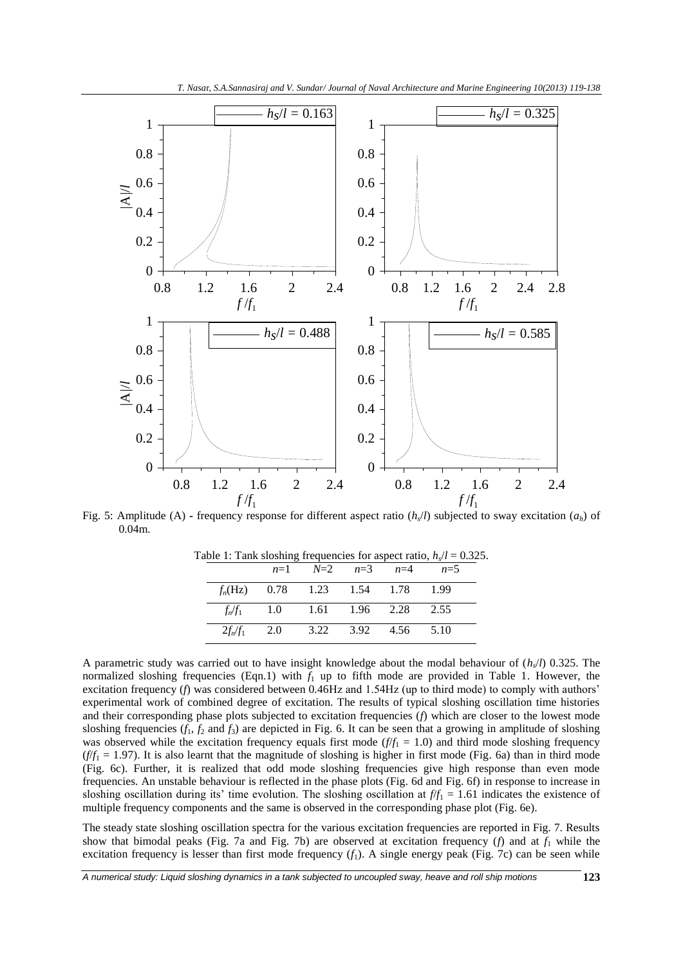

Fig. 5: Amplitude (A) **-** frequency response for different aspect ratio (*h<sup>s</sup>* /*l*) subjected to sway excitation (*ah*) of 0.04m.

| able 1. Talk sloshing requencies for aspect ratio, $n_s t = 0.52$ . |  |  |                                           |  |  |  |  |  |  |  |
|---------------------------------------------------------------------|--|--|-------------------------------------------|--|--|--|--|--|--|--|
|                                                                     |  |  | $n=1$ $N=2$ $n=3$ $n=4$ $n=5$             |  |  |  |  |  |  |  |
|                                                                     |  |  | $f_n(\text{Hz})$ 0.78 1.23 1.54 1.78 1.99 |  |  |  |  |  |  |  |
|                                                                     |  |  | $f_n/f_1$ 1.0 1.61 1.96 2.28 2.55         |  |  |  |  |  |  |  |
|                                                                     |  |  | $2f_n/f_1$ 2.0 3.22 3.92 4.56 5.10        |  |  |  |  |  |  |  |

Table 1: Tank sloshing frequencies for aspect ratio,  $h_s/l = 0.325$ .

A parametric study was carried out to have insight knowledge about the modal behaviour of (*h<sup>s</sup>* /*l*) 0.325. The normalized sloshing frequencies (Eqn.1) with  $f_1$  up to fifth mode are provided in Table 1. However, the excitation frequency (*f*) was considered between 0.46Hz and 1.54Hz (up to third mode) to comply with authors' experimental work of combined degree of excitation. The results of typical sloshing oscillation time histories and their corresponding phase plots subjected to excitation frequencies (*f*) which are closer to the lowest mode sloshing frequencies  $(f_1, f_2, \text{and } f_3)$  are depicted in Fig. 6. It can be seen that a growing in amplitude of sloshing was observed while the excitation frequency equals first mode  $(f/f_1 = 1.0)$  and third mode sloshing frequency  $(f/f_1 = 1.97)$ . It is also learnt that the magnitude of sloshing is higher in first mode (Fig. 6a) than in third mode (Fig. 6c). Further, it is realized that odd mode sloshing frequencies give high response than even mode frequencies. An unstable behaviour is reflected in the phase plots (Fig. 6d and Fig. 6f) in response to increase in sloshing oscillation during its' time evolution. The sloshing oscillation at  $f/f_1 = 1.61$  indicates the existence of multiple frequency components and the same is observed in the corresponding phase plot (Fig. 6e).

The steady state sloshing oscillation spectra for the various excitation frequencies are reported in Fig. 7. Results show that bimodal peaks (Fig. 7a and Fig. 7b) are observed at excitation frequency  $(f)$  and at  $f_1$  while the excitation frequency is lesser than first mode frequency (*f*<sub>1</sub>). A single energy peak (Fig. 7c) can be seen while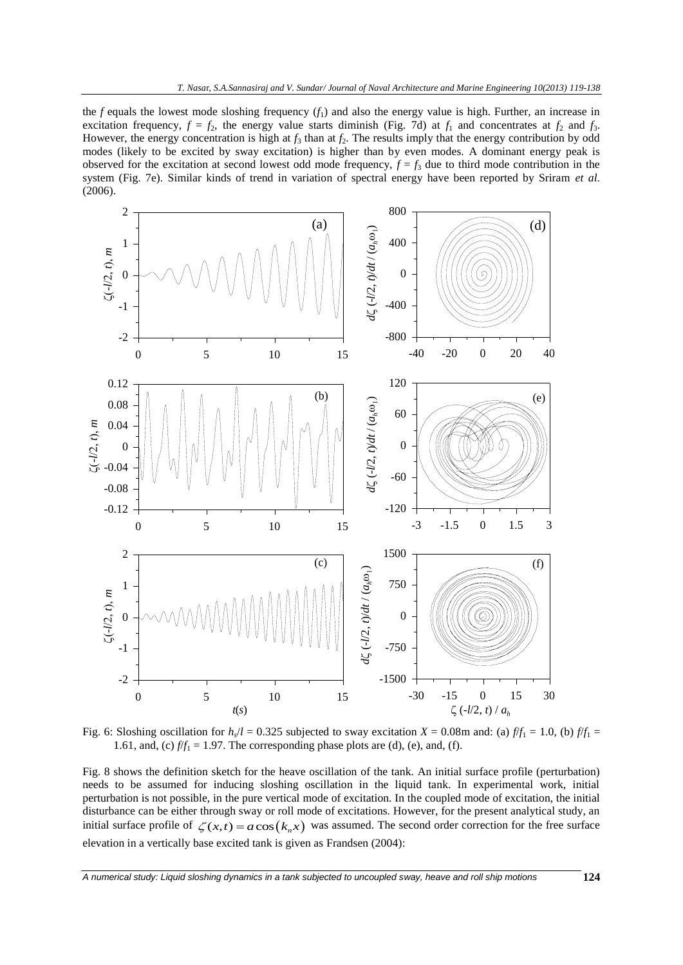the *f* equals the lowest mode sloshing frequency (*f*1) and also the energy value is high. Further, an increase in excitation frequency,  $f = f_2$ , the energy value starts diminish (Fig. 7d) at  $f_1$  and concentrates at  $f_2$  and  $f_3$ . However, the energy concentration is high at  $f_3$  than at  $f_2$ . The results imply that the energy contribution by odd modes (likely to be excited by sway excitation) is higher than by even modes. A dominant energy peak is observed for the excitation at second lowest odd mode frequency,  $f = f_3$  due to third mode contribution in the system (Fig. 7e). Similar kinds of trend in variation of spectral energy have been reported by Sriram *et al*. (2006).



Fig. 6: Sloshing oscillation for  $h_s/l = 0.325$  subjected to sway excitation  $X = 0.08$ m and: (a)  $f/f_1 = 1.0$ , (b)  $f/f_1 = 1.0$ 1.61, and, (c)  $f/f_1 = 1.97$ . The corresponding phase plots are (d), (e), and, (f).

Fig. 8 shows the definition sketch for the heave oscillation of the tank. An initial surface profile (perturbation) needs to be assumed for inducing sloshing oscillation in the liquid tank. In experimental work, initial perturbation is not possible, in the pure vertical mode of excitation. In the coupled mode of excitation, the initial disturbance can be either through sway or roll mode of excitations. However, for the present analytical study, an initial surface profile of  $\zeta(x,t) = a \cos(k_n x)$  was assumed. The second order correction for the free surface elevation in a vertically base excited tank is given as Frandsen (2004):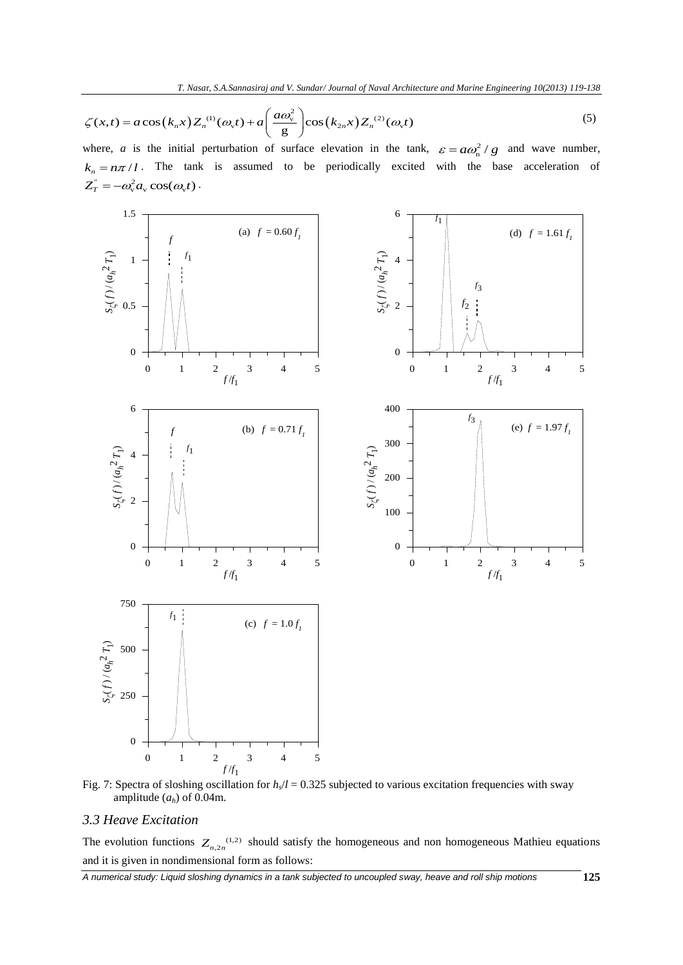T. Nasar, S.A.Sannasiraj and V. Sundar/Journal of Naval Architecture and Marine Engineering 10(2013) 119-138  
\n
$$
\zeta(x,t) = a \cos(k_n x) Z_n^{(1)}(\omega_c t) + a \left( \frac{a \omega_v^2}{g} \right) \cos(k_{2n} x) Z_n^{(2)}(\omega_c t)
$$
\n(5)

where, *a* is the initial perturbation of surface elevation in the tank,  $\varepsilon = a\omega_n^2/g$  and wave number,  $k_n = n\pi/l$ . The tank is assumed to be periodically excited with the base acceleration of  $Z_T^{\dagger} = -\omega_v^2 a_v \cos(\omega_v t).$ 



Fig. 7: Spectra of sloshing oscillation for  $h<sub>s</sub>/l = 0.325$  subjected to various excitation frequencies with sway amplitude  $(a_h)$  of 0.04m.

# *3.3 Heave Excitation*

The evolution functions  $Z_{n,2n}^{(1,2)}$  should satisfy the homogeneous and non homogeneous Mathieu equations and it is given in nondimensional form as follows: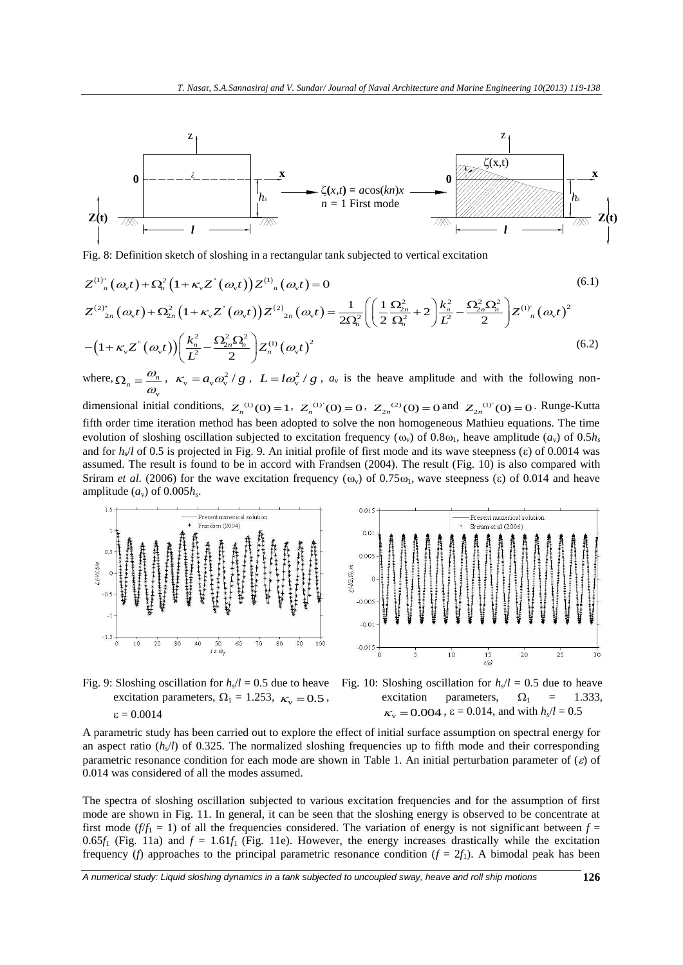

Fig. 8: Definition sketch of sloshing in a rectangular tank subjected to vertical excitation  
\n
$$
Z^{(1)^{n}}_{n}(\omega_{v}t) + \Omega_{n}^{2} (1 + \kappa_{v} Z^{*}(\omega_{v}t)) Z^{(1)}_{n}(\omega_{v}t) = 0
$$
\n
$$
Z^{(2)^{n}}_{2n}(\omega_{v}t) + \Omega_{2n}^{2} (1 + \kappa_{v} Z^{*}(\omega_{v}t)) Z^{(2)}_{2n}(\omega_{v}t) = \frac{1}{2\Omega_{n}^{2}} \left( \frac{1}{2} \frac{\Omega_{2n}^{2}}{\Omega_{n}^{2}} + 2 \right) \frac{k_{n}^{2}}{L^{2}} - \frac{\Omega_{2n}^{2} \Omega_{n}^{2}}{2} \right) Z^{(1)^{n}}_{n}(\omega_{v}t)^{2}
$$
\n
$$
- (1 + \kappa_{v} Z^{*}(\omega_{v}t)) \left( \frac{k_{n}^{2}}{L^{2}} - \frac{\Omega_{2n}^{2} \Omega_{n}^{2}}{2} \right) Z_{n}^{(1)}(\omega_{v}t)^{2}
$$
\n
$$
(6.2)
$$

where, v  $\mu_n = \frac{\omega_n}{\omega_n}$  $\omega$  $\Omega_n = \frac{\omega_n}{\omega_n}$ ,  $\kappa_v = a_v \omega_v^2 / g$ ,  $L = l \omega_v^2 / g$ ,  $a_v$  is the heave amplitude and with the following non-

dimensional initial conditions,  $Z_n^{(1)}(0) = 1$ ,  $Z_n^{(1)}(0) = 0$ ,  $Z_{2n}^{(2)}(0) = 0$  and  $Z_{2n}^{(1)}(0) = 0$ . Runge-Kutta fifth order time iteration method has been adopted to solve the non homogeneous Mathieu equations. The time evolution of sloshing oscillation subjected to excitation frequency ( $\omega_v$ ) of 0.8 $\omega_1$ , heave amplitude ( $a_v$ ) of 0.5 $h_s$ and for  $h_s/l$  of 0.5 is projected in Fig. 9. An initial profile of first mode and its wave steepness ( $\varepsilon$ ) of 0.0014 was assumed. The result is found to be in accord with Frandsen (2004). The result (Fig. 10) is also compared with Sriram *et al.* (2006) for the wave excitation frequency ( $\omega_v$ ) of 0.75 $\omega_1$ , wave steepness ( $\varepsilon$ ) of 0.014 and heave amplitude  $(a_v)$  of  $0.005h_s$ .





Fig. 9: Sloshing oscillation for  $h<sub>s</sub>/l = 0.5$  due to heave excitation parameters,  $\Omega_1 = 1.253$ ,  $\kappa_v = 0.5$ ,  $\epsilon = 0.0014$ 

Fig. 10: Sloshing oscillation for  $h<sub>s</sub>/l = 0.5$  due to heave excitation parameters,  $\Omega_1 = 1.333$ ,  $\kappa_{\rm v} = 0.004$ ,  $\varepsilon = 0.014$ , and with  $h_{\rm s}/l = 0.5$ 

A parametric study has been carried out to explore the effect of initial surface assumption on spectral energy for an aspect ratio  $(h_s/l)$  of 0.325. The normalized sloshing frequencies up to fifth mode and their corresponding parametric resonance condition for each mode are shown in Table 1. An initial perturbation parameter of  $(\varepsilon)$  of 0.014 was considered of all the modes assumed.

The spectra of sloshing oscillation subjected to various excitation frequencies and for the assumption of first mode are shown in Fig. 11. In general, it can be seen that the sloshing energy is observed to be concentrate at first mode  $(f/f_1 = 1)$  of all the frequencies considered. The variation of energy is not significant between  $f =$  $0.65f_1$  (Fig. 11a) and  $f = 1.61f_1$  (Fig. 11e). However, the energy increases drastically while the excitation frequency (*f*) approaches to the principal parametric resonance condition ( $f = 2f_1$ ). A bimodal peak has been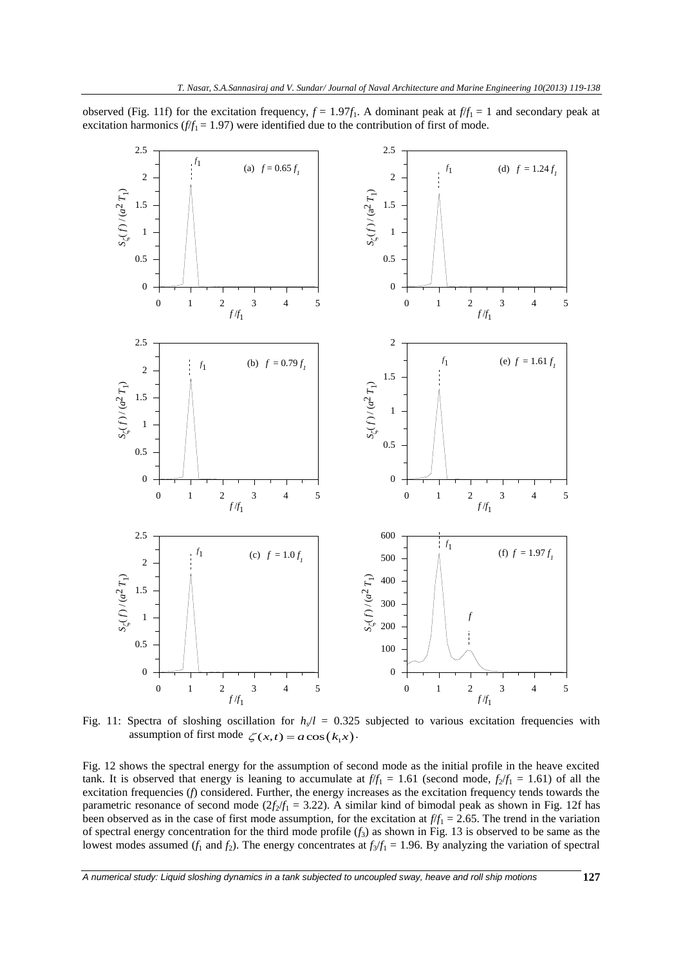observed (Fig. 11f) for the excitation frequency,  $f = 1.97f_1$ . A dominant peak at  $f/f_1 = 1$  and secondary peak at excitation harmonics  $(f/f_1 = 1.97)$  were identified due to the contribution of first of mode.



Fig. 11: Spectra of sloshing oscillation for  $h<sub>s</sub>/l = 0.325$  subjected to various excitation frequencies with assumption of first mode  $\zeta(x,t) = a \cos(k_1 x)$ .

Fig. 12 shows the spectral energy for the assumption of second mode as the initial profile in the heave excited tank. It is observed that energy is leaning to accumulate at  $f/f_1 = 1.61$  (second mode,  $f_2/f_1 = 1.61$ ) of all the excitation frequencies (*f*) considered. Further, the energy increases as the excitation frequency tends towards the parametric resonance of second mode ( $2f_2/f_1 = 3.22$ ). A similar kind of bimodal peak as shown in Fig. 12f has been observed as in the case of first mode assumption, for the excitation at  $f/f_1 = 2.65$ . The trend in the variation of spectral energy concentration for the third mode profile  $(f_3)$  as shown in Fig. 13 is observed to be same as the lowest modes assumed ( $f_1$  and  $f_2$ ). The energy concentrates at  $f_3/f_1 = 1.96$ . By analyzing the variation of spectral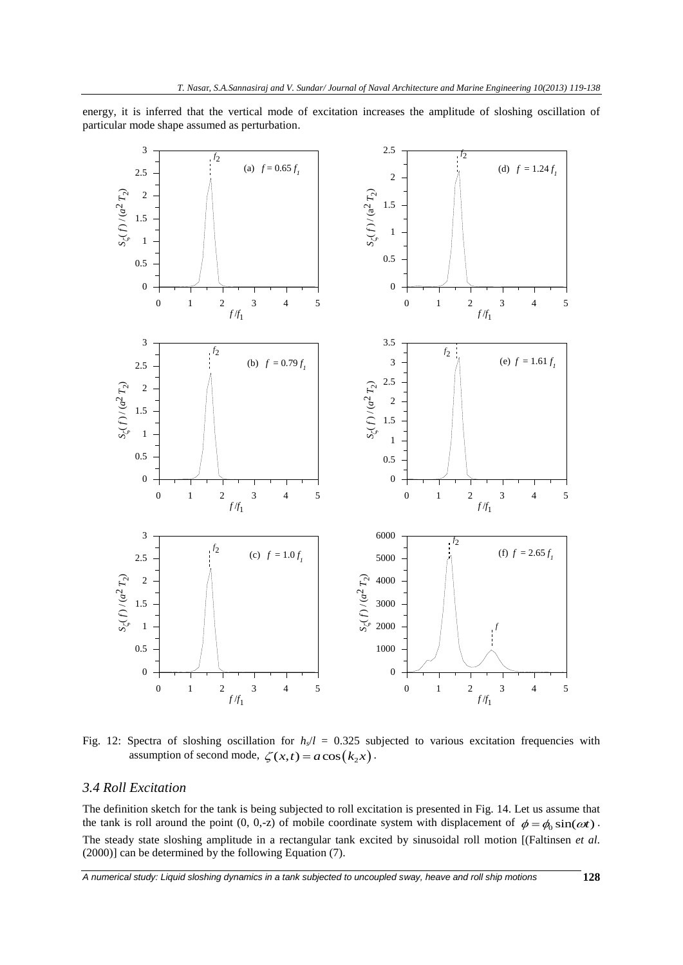energy, it is inferred that the vertical mode of excitation increases the amplitude of sloshing oscillation of particular mode shape assumed as perturbation.



Fig. 12: Spectra of sloshing oscillation for  $h<sub>s</sub>/l = 0.325$  subjected to various excitation frequencies with assumption of second mode,  $\zeta(x, t) = a \cos(k_2 x)$ .

## *3.4 Roll Excitation*

The definition sketch for the tank is being subjected to roll excitation is presented in Fig. 14. Let us assume that the tank is roll around the point  $(0, 0, z)$  of mobile coordinate system with displacement of  $\phi = \phi_0 \sin(\omega t)$ . The steady state sloshing amplitude in a rectangular tank excited by sinusoidal roll motion [(Faltinsen *et al*. (2000)] can be determined by the following Equation (7).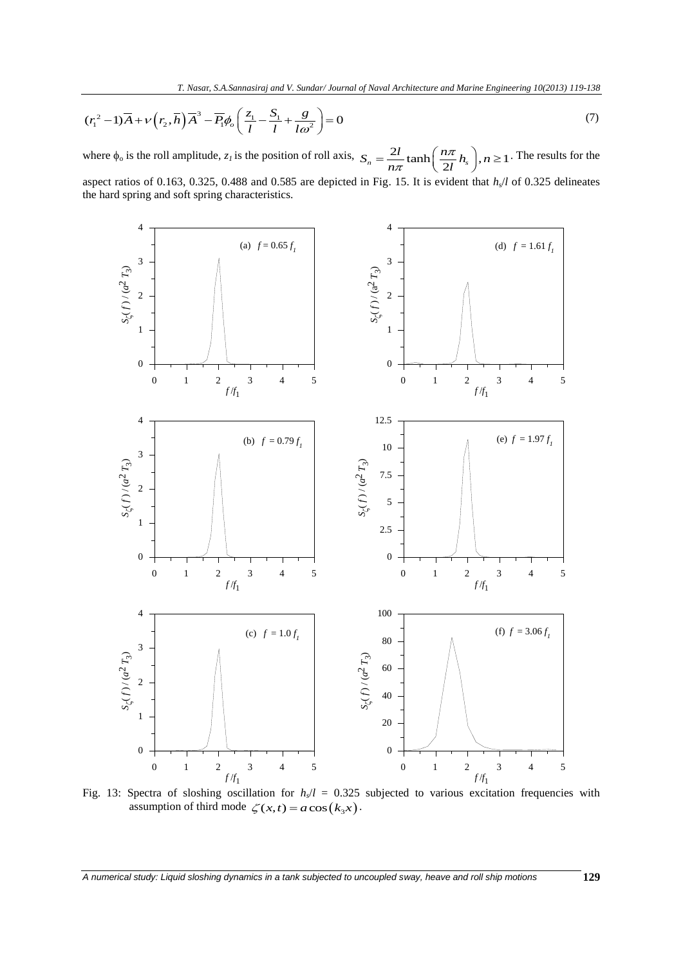T. Nasar, S.A.Sannasiraj and V. Sundar/Journal of Naval Architecture and Marine Engineering 10(2013) 119-138  
\n
$$
(r_1^2 - 1)\overline{A} + v(r_2, \overline{h})\overline{A}^3 - \overline{P_1}\phi_o\left(\frac{z_1}{l} - \frac{S_1}{l} + \frac{g}{l\omega^2}\right) = 0
$$
\n(7)

where  $\phi_0$  is the roll amplitude, *z<sub>I</sub>* is the position of roll axis,  $S_n = \frac{2l}{n\pi} \tanh\left(\frac{n\pi}{2l}h_s\right)$ ,  $n \ge 1$  $=\frac{2l}{n\pi}\tanh\left(\frac{n\pi}{2l}h_s\right), n\geq 1$ . . The results for the aspect ratios of 0.163, 0.325, 0.488 and 0.585 are depicted in Fig. 15. It is evident that *h*<sup>s</sup> /*l* of 0.325 delineates the hard spring and soft spring characteristics.



Fig. 13: Spectra of sloshing oscillation for  $h<sub>s</sub>/l = 0.325$  subjected to various excitation frequencies with assumption of third mode  $\zeta(x,t) = a \cos(k_3 x)$ .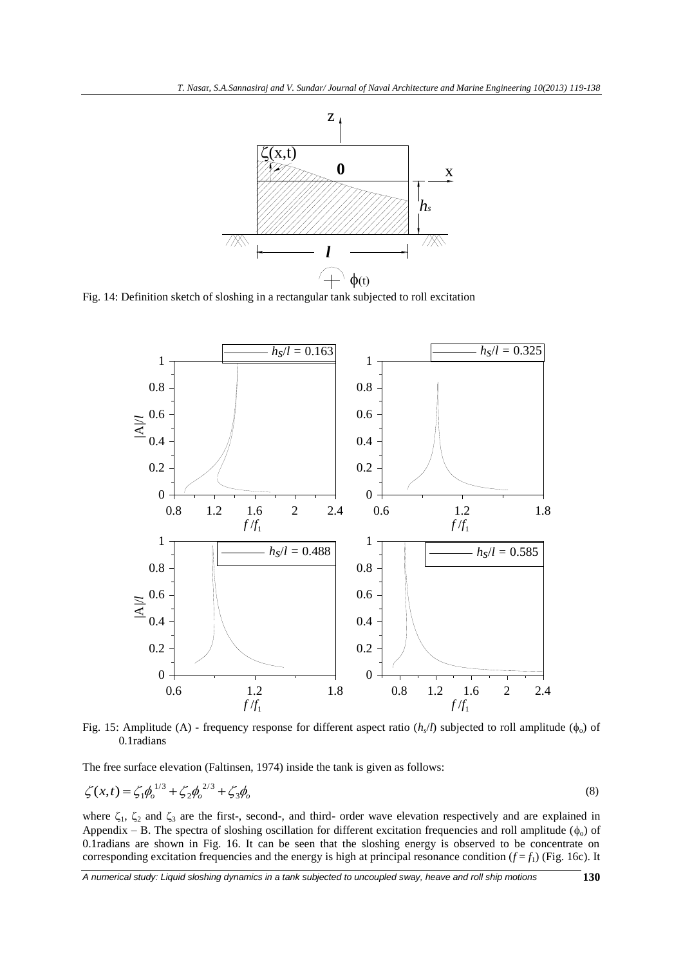

Fig. 14: Definition sketch of sloshing in a rectangular tank subjected to roll excitation



Fig. 15: Amplitude (A) - frequency response for different aspect ratio  $(h_s/l)$  subjected to roll amplitude ( $\phi_o$ ) of 0.1radians

The free surface elevation (Faltinsen, 1974) inside the tank is given as follows:

$$
\zeta(x,t) = \zeta_1 \phi_o^{1/3} + \zeta_2 \phi_o^{2/3} + \zeta_3 \phi_o \tag{8}
$$

where  $\zeta_1$ ,  $\zeta_2$  and  $\zeta_3$  are the first-, second-, and third- order wave elevation respectively and are explained in Appendix – B. The spectra of sloshing oscillation for different excitation frequencies and roll amplitude ( $\phi_0$ ) of 0.1radians are shown in Fig. 16. It can be seen that the sloshing energy is observed to be concentrate on corresponding excitation frequencies and the energy is high at principal resonance condition  $(f = f_1)$  (Fig. 16c). It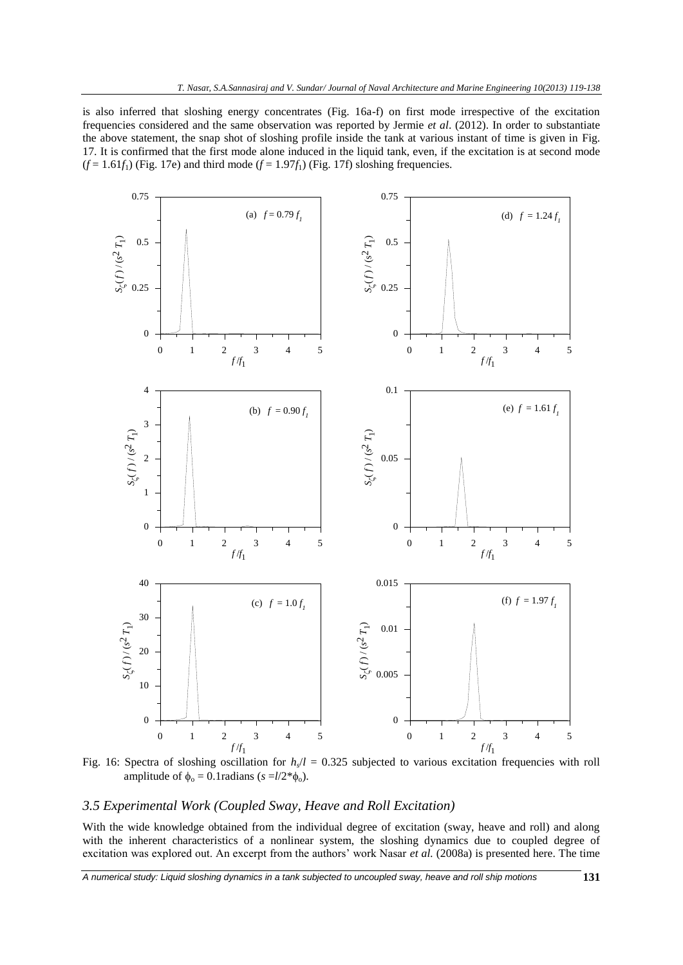is also inferred that sloshing energy concentrates (Fig. 16a-f) on first mode irrespective of the excitation frequencies considered and the same observation was reported by Jermie *et al*. (2012). In order to substantiate the above statement, the snap shot of sloshing profile inside the tank at various instant of time is given in Fig. 17. It is confirmed that the first mode alone induced in the liquid tank, even, if the excitation is at second mode  $(f = 1.61f_1)$  (Fig. 17e) and third mode  $(f = 1.97f_1)$  (Fig. 17f) sloshing frequencies.



Fig. 16: Spectra of sloshing oscillation for  $h_s/l = 0.325$  subjected to various excitation frequencies with roll amplitude of  $\phi_0 = 0.1$  radians ( $s = l/2 * \phi_0$ ).

## *3.5 Experimental Work (Coupled Sway, Heave and Roll Excitation)*

With the wide knowledge obtained from the individual degree of excitation (sway, heave and roll) and along with the inherent characteristics of a nonlinear system, the sloshing dynamics due to coupled degree of excitation was explored out. An excerpt from the authors' work Nasar *et al.* (2008a) is presented here. The time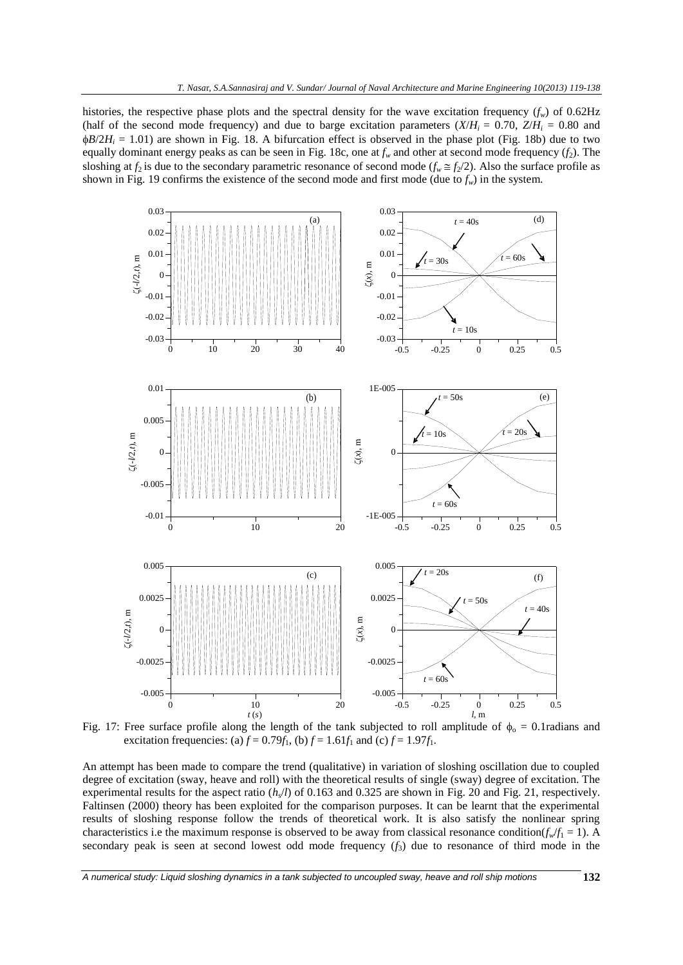histories, the respective phase plots and the spectral density for the wave excitation frequency  $(f_w)$  of 0.62Hz (half of the second mode frequency) and due to barge excitation parameters  $(X/H<sub>i</sub> = 0.70, Z/H<sub>i</sub> = 0.80$  and  $\phi B/2H_i = 1.01$  are shown in Fig. 18. A bifurcation effect is observed in the phase plot (Fig. 18b) due to two equally dominant energy peaks as can be seen in Fig. 18c, one at  $f_w$  and other at second mode frequency  $(f_2)$ . The sloshing at  $f_2$  is due to the secondary parametric resonance of second mode ( $f_w \leq f_2/2$ ). Also the surface profile as shown in Fig. 19 confirms the existence of the second mode and first mode (due to  $f_w$ ) in the system.



Fig. 17: Free surface profile along the length of the tank subjected to roll amplitude of  $\phi_0 = 0.1$ radians and excitation frequencies: (a)  $f = 0.79f_1$ , (b)  $f = 1.61f_1$  and (c)  $f = 1.97f_1$ .

An attempt has been made to compare the trend (qualitative) in variation of sloshing oscillation due to coupled degree of excitation (sway, heave and roll) with the theoretical results of single (sway) degree of excitation. The experimental results for the aspect ratio  $(h_s/l)$  of 0.163 and 0.325 are shown in Fig. 20 and Fig. 21, respectively. Faltinsen (2000) theory has been exploited for the comparison purposes. It can be learnt that the experimental results of sloshing response follow the trends of theoretical work. It is also satisfy the nonlinear spring characteristics i.e the maximum response is observed to be away from classical resonance condition( $f_w/f_1 = 1$ ). A secondary peak is seen at second lowest odd mode frequency  $(f_3)$  due to resonance of third mode in the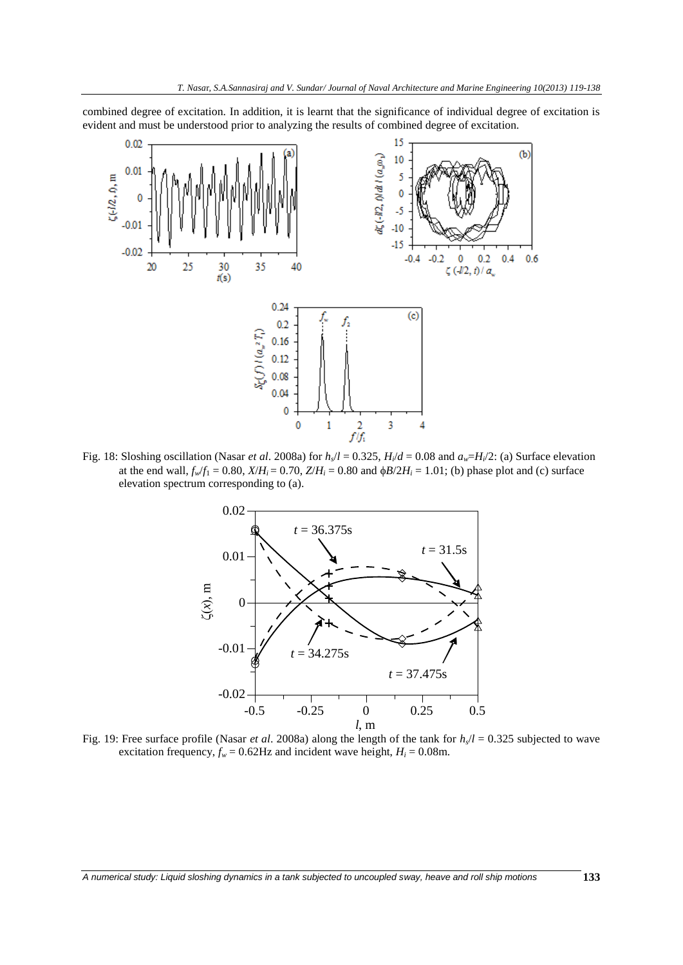combined degree of excitation. In addition, it is learnt that the significance of individual degree of excitation is evident and must be understood prior to analyzing the results of combined degree of excitation.

![](_page_14_Figure_2.jpeg)

Fig. 18: Sloshing oscillation (Nasar *et al.* 2008a) for  $h_s/l = 0.325$ ,  $H_l/d = 0.08$  and  $a_w = H_l/2$ : (a) Surface elevation at the end wall,  $f_w/f_1 = 0.80$ ,  $X/H_i = 0.70$ ,  $Z/H_i = 0.80$  and  $\phi B/2H_i = 1.01$ ; (b) phase plot and (c) surface elevation spectrum corresponding to (a).

![](_page_14_Figure_4.jpeg)

Fig. 19: Free surface profile (Nasar *et al*. 2008a) along the length of the tank for *h<sup>s</sup>* /*l* = 0.325 subjected to wave excitation frequency,  $f_w = 0.62$  Hz and incident wave height,  $H_i = 0.08$ m.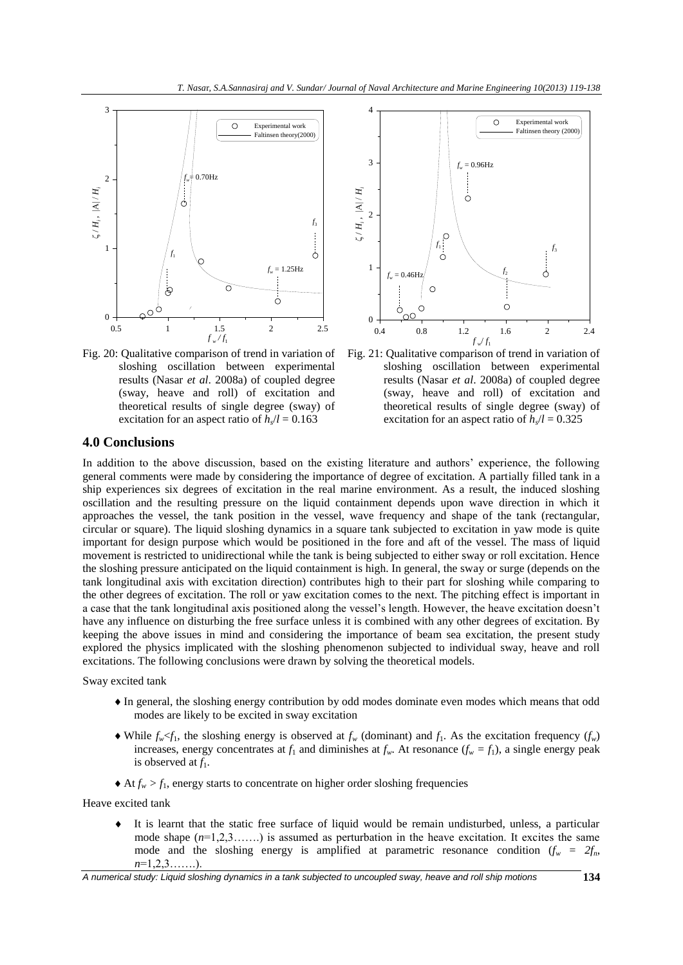![](_page_15_Figure_1.jpeg)

Fig. 20: Qualitative comparison of trend in variation of sloshing oscillation between experimental results (Nasar *et al*. 2008a) of coupled degree (sway, heave and roll) of excitation and theoretical results of single degree (sway) of excitation for an aspect ratio of  $h_s/l = 0.163$ 

![](_page_15_Figure_3.jpeg)

Fig. 21: Qualitative comparison of trend in variation of sloshing oscillation between experimental results (Nasar *et al*. 2008a) of coupled degree (sway, heave and roll) of excitation and theoretical results of single degree (sway) of excitation for an aspect ratio of  $h<sub>s</sub>/l = 0.325$ 

## **4.0 Conclusions**

In addition to the above discussion, based on the existing literature and authors' experience, the following general comments were made by considering the importance of degree of excitation. A partially filled tank in a ship experiences six degrees of excitation in the real marine environment. As a result, the induced sloshing oscillation and the resulting pressure on the liquid containment depends upon wave direction in which it approaches the vessel, the tank position in the vessel, wave frequency and shape of the tank (rectangular, circular or square). The liquid sloshing dynamics in a square tank subjected to excitation in yaw mode is quite important for design purpose which would be positioned in the fore and aft of the vessel. The mass of liquid movement is restricted to unidirectional while the tank is being subjected to either sway or roll excitation. Hence the sloshing pressure anticipated on the liquid containment is high. In general, the sway or surge (depends on the tank longitudinal axis with excitation direction) contributes high to their part for sloshing while comparing to the other degrees of excitation. The roll or yaw excitation comes to the next. The pitching effect is important in a case that the tank longitudinal axis positioned along the vessel's length. However, the heave excitation doesn't have any influence on disturbing the free surface unless it is combined with any other degrees of excitation. By keeping the above issues in mind and considering the importance of beam sea excitation, the present study explored the physics implicated with the sloshing phenomenon subjected to individual sway, heave and roll excitations. The following conclusions were drawn by solving the theoretical models.

Sway excited tank

- In general, the sloshing energy contribution by odd modes dominate even modes which means that odd modes are likely to be excited in sway excitation
- $\blacklozenge$  While  $f_w \le f_1$ , the sloshing energy is observed at  $f_w$  (dominant) and  $f_1$ . As the excitation frequency  $(f_w)$ increases, energy concentrates at  $f_1$  and diminishes at  $f_w$ . At resonance  $(f_w = f_1)$ , a single energy peak is observed at  $f_1$ .
- $\blacklozenge$  At  $f_w$  >  $f_1$ , energy starts to concentrate on higher order sloshing frequencies

Heave excited tank

 It is learnt that the static free surface of liquid would be remain undisturbed, unless, a particular mode shape  $(n=1,2,3,\ldots)$  is assumed as perturbation in the heave excitation. It excites the same mode and the sloshing energy is amplified at parametric resonance condition  $(f_w = 2f_n,$ *n*=1,2,3…….).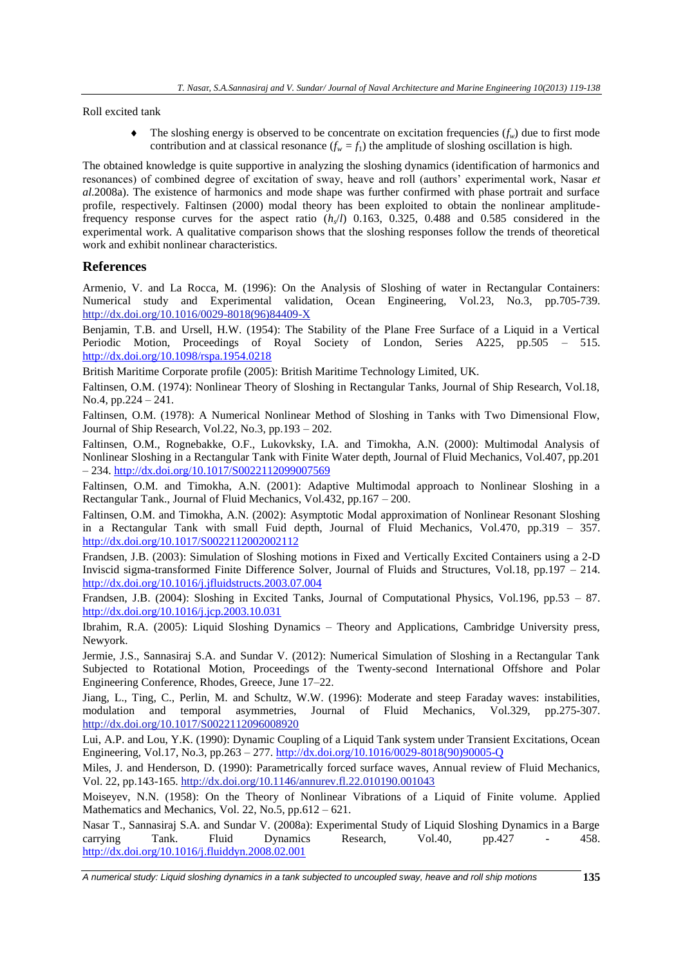Roll excited tank

 $\bullet$  The sloshing energy is observed to be concentrate on excitation frequencies  $(f_w)$  due to first mode contribution and at classical resonance  $(f_w = f_1)$  the amplitude of sloshing oscillation is high.

The obtained knowledge is quite supportive in analyzing the sloshing dynamics (identification of harmonics and resonances) of combined degree of excitation of sway, heave and roll (authors' experimental work, Nasar *et al*.2008a). The existence of harmonics and mode shape was further confirmed with phase portrait and surface profile, respectively. Faltinsen (2000) modal theory has been exploited to obtain the nonlinear amplitudefrequency response curves for the aspect ratio (*h<sup>s</sup>* /*l*) 0.163, 0.325, 0.488 and 0.585 considered in the experimental work. A qualitative comparison shows that the sloshing responses follow the trends of theoretical work and exhibit nonlinear characteristics.

## **References**

Armenio, V. and La Rocca, M. (1996): On the Analysis of Sloshing of water in Rectangular Containers: Numerical study and Experimental validation, Ocean Engineering, Vol.23, No.3, pp.705-739. [http://dx.doi.org/10.1016/0029-8018\(96\)84409-X](http://dx.doi.org/10.1016/0029-8018(96)84409-X)

Benjamin, T.B. and Ursell, H.W. (1954): The Stability of the Plane Free Surface of a Liquid in a Vertical Periodic Motion, Proceedings of Royal Society of London, Series A225, pp.505 – 515. <http://dx.doi.org/10.1098/rspa.1954.0218>

British Maritime Corporate profile (2005): British Maritime Technology Limited, UK.

Faltinsen, O.M. (1974): Nonlinear Theory of Sloshing in Rectangular Tanks, Journal of Ship Research, Vol.18, No.4, pp.224 – 241.

Faltinsen, O.M. (1978): A Numerical Nonlinear Method of Sloshing in Tanks with Two Dimensional Flow, Journal of Ship Research, Vol.22, No.3, pp.193 – 202.

Faltinsen, O.M., Rognebakke, O.F., Lukovksky, I.A. and Timokha, A.N. (2000): Multimodal Analysis of Nonlinear Sloshing in a Rectangular Tank with Finite Water depth, Journal of Fluid Mechanics, Vol.407, pp.201 – 234[. http://dx.doi.org/10.1017/S0022112099007569](http://dx.doi.org/10.1017/S0022112099007569)

Faltinsen, O.M. and Timokha, A.N. (2001): Adaptive Multimodal approach to Nonlinear Sloshing in a Rectangular Tank., Journal of Fluid Mechanics, Vol.432, pp.167 – 200.

Faltinsen, O.M. and Timokha, A.N. (2002): Asymptotic Modal approximation of Nonlinear Resonant Sloshing in a Rectangular Tank with small Fuid depth, Journal of Fluid Mechanics, Vol.470, pp.319 – 357. <http://dx.doi.org/10.1017/S0022112002002112>

Frandsen, J.B. (2003): Simulation of Sloshing motions in Fixed and Vertically Excited Containers using a 2-D Inviscid sigma-transformed Finite Difference Solver, Journal of Fluids and Structures, Vol.18, pp.197 – 214. <http://dx.doi.org/10.1016/j.jfluidstructs.2003.07.004>

Frandsen, J.B. (2004): Sloshing in Excited Tanks, Journal of Computational Physics, Vol.196, pp.53 – 87. <http://dx.doi.org/10.1016/j.jcp.2003.10.031>

Ibrahim, R.A. (2005): Liquid Sloshing Dynamics – Theory and Applications, Cambridge University press, Newyork.

Jermie, J.S., Sannasiraj S.A. and Sundar V. (2012): Numerical Simulation of Sloshing in a Rectangular Tank Subjected to Rotational Motion, Proceedings of the Twenty-second International Offshore and Polar Engineering Conference, Rhodes, Greece, June 17–22.

Jiang, L., Ting, C., Perlin, M. and Schultz, W.W. (1996): Moderate and steep Faraday waves: instabilities, modulation and temporal asymmetries, Journal of Fluid Mechanics*,* Vol.329, pp.275-307. <http://dx.doi.org/10.1017/S0022112096008920>

Lui, A.P. and Lou, Y.K. (1990): Dynamic Coupling of a Liquid Tank system under Transient Excitations, Ocean Engineering, Vol.17, No.3, pp.263 – 277[. http://dx.doi.org/10.1016/0029-8018\(90\)90005-Q](http://dx.doi.org/10.1016/0029-8018(90)90005-Q)

Miles, J. and Henderson, D. (1990): Parametrically forced surface waves, Annual review of Fluid Mechanics, Vol. 22, pp.143-165.<http://dx.doi.org/10.1146/annurev.fl.22.010190.001043>

Moiseyev, N.N. (1958): On the Theory of Nonlinear Vibrations of a Liquid of Finite volume. Applied Mathematics and Mechanics, Vol. 22, No.5, pp.612 – 621.

Nasar T., Sannasiraj S.A. and Sundar V. (2008a): Experimental Study of Liquid Sloshing Dynamics in a Barge carrying Tank. Fluid Dynamics Research, Vol.40, pp.427 - 458. <http://dx.doi.org/10.1016/j.fluiddyn.2008.02.001>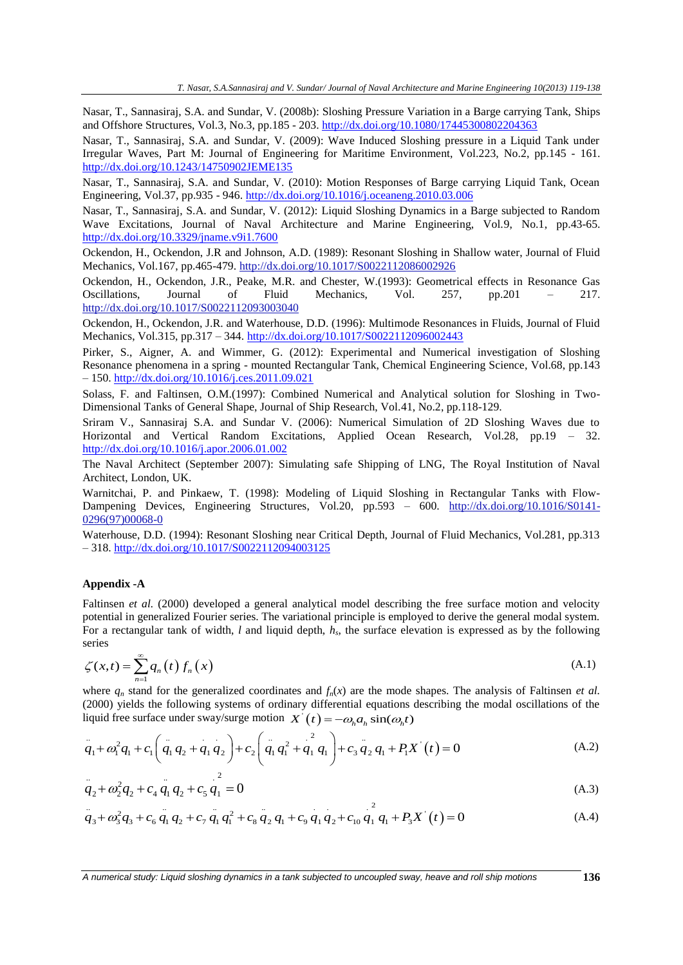Nasar, T., Sannasiraj, S.A. and Sundar, V. (2008b): Sloshing Pressure Variation in a Barge carrying Tank, Ships and Offshore Structures, Vol.3, No.3, pp.185 - 203[. http://dx.doi.org/10.1080/17445300802204363](http://dx.doi.org/10.1080/17445300802204363)

Nasar, T., Sannasiraj, S.A. and Sundar, V. (2009): Wave Induced Sloshing pressure in a Liquid Tank under Irregular Waves, Part M: Journal of Engineering for Maritime Environment, Vol.223, No.2, pp.145 - 161. [http://dx.doi.org/](http://dx.doi.org/10.1016/j.apor.2006.01.002)[10.1243/14750902JEME135](file:///C:/Users/mmkarim/Downloads/random_slosh_dynamics_7600.doc)

Nasar, T., Sannasiraj, S.A. and Sundar, V. (2010): Motion Responses of Barge carrying Liquid Tank, Ocean Engineering, Vol.37, pp.935 - 946.<http://dx.doi.org/10.1016/j.oceaneng.2010.03.006>

Nasar, T., Sannasiraj, S.A. and Sundar, V. (2012): Liquid Sloshing Dynamics in a Barge subjected to Random Wave Excitations, Journal of Naval Architecture and Marine Engineering, Vol.9, No.1, pp.43-65. [http://dx.doi.org/](http://dx.doi.org/10.1016/j.apor.2006.01.002)[10.3329/jname.v9i1.7600](file:///C:/Users/job%20search/Dr_Nasar_CV_UTM.doc)

Ockendon, H., Ockendon, J.R and Johnson, A.D. (1989): Resonant Sloshing in Shallow water, Journal of Fluid Mechanics, Vol.167, pp.465-479[. http://dx.doi.org/10.1017/S0022112086002926](http://dx.doi.org/10.1017/S0022112086002926)

Ockendon, H., Ockendon, J.R., Peake, M.R. and Chester, W.(1993): Geometrical effects in Resonance Gas Oscillations, Journal of Fluid Mechanics, Vol. 257, pp.201 – 217. <http://dx.doi.org/10.1017/S0022112093003040>

Ockendon, H., Ockendon, J.R. and Waterhouse, D.D. (1996): Multimode Resonances in Fluids, Journal of Fluid Mechanics, Vol.315, pp.317 – 344.<http://dx.doi.org/10.1017/S0022112096002443>

Pirker, S., Aigner, A. and Wimmer, G. (2012): Experimental and Numerical investigation of Sloshing Resonance phenomena in a spring - mounted Rectangular Tank, Chemical Engineering Science, Vol.68, pp.143 – 150[. http://dx.doi.org/](http://dx.doi.org/10.1016/j.apor.2006.01.002)[10.1016/j.ces.2011.09.021](file:///C:/Users/mmkarim/Downloads/A%20numerical%20study%20Liquid%20sloshing%20dynamics%20in%20a%20ship%20tank_JNAME_Revised.doc)

Solass, F. and Faltinsen, O.M.(1997): Combined Numerical and Analytical solution for Sloshing in Two-Dimensional Tanks of General Shape, Journal of Ship Research, Vol.41, No.2, pp.118-129.

Sriram V., Sannasiraj S.A. and Sundar V. (2006): Numerical Simulation of 2D Sloshing Waves due to Horizontal and Vertical Random Excitations, Applied Ocean Research, Vol.28, pp.19 – 32. <http://dx.doi.org/10.1016/j.apor.2006.01.002>

The Naval Architect (September 2007): Simulating safe Shipping of LNG, The Royal Institution of Naval Architect, London, UK.

Warnitchai, P. and Pinkaew, T. (1998): Modeling of Liquid Sloshing in Rectangular Tanks with Flow-Dampening Devices, Engineering Structures, Vol.20, pp.593 – 600. [http://dx.doi.org/10.1016/S0141-](http://dx.doi.org/10.1016/S0141-0296(97)00068-0) [0296\(97\)00068-0](http://dx.doi.org/10.1016/S0141-0296(97)00068-0)

Waterhouse, D.D. (1994): Resonant Sloshing near Critical Depth, Journal of Fluid Mechanics, Vol.281, pp.313 – 318[. http://dx.doi.org/10.1017/S0022112094003125](http://dx.doi.org/10.1017/S0022112094003125)

#### **Appendix -A**

Faltinsen *et al.* (2000) developed a general analytical model describing the free surface motion and velocity potential in generalized Fourier series. The variational principle is employed to derive the general modal system. For a rectangular tank of width, *l* and liquid depth,  $h_s$ , the surface elevation is expressed as by the following series

$$
\zeta(x,t) = \sum_{n=1}^{\infty} q_n(t) f_n(x)
$$
\n(A.1)

where  $q_n$  stand for the generalized coordinates and  $f_n(x)$  are the mode shapes. The analysis of Faltinsen *et al.* (2000) yields the following systems of ordinary differential equations<br>
liquid free surface under sway/surge motion  $X'(t) = -\omega_h a_h \sin(\omega_h t)$ where  $q_n$  stand for the generalized coordinates and  $f_n(x)$  are the mode shapes. I<br>
(2000) yields the following systems of ordinary differential equations describing<br>
liquid free surface under sway/surge motion  $X'(t) = -\omega_h$ 

(2000) yields the following systems of ordinary differential equations describing the modal oscillations of the  
liquid free surface under sway/surge motion 
$$
X'(t) = -\omega_h a_h \sin(\omega_h t)
$$
  

$$
\ddot{q}_1 + \omega_1^2 q_1 + c_1 \left( \ddot{q}_1 q_2 + \dot{q}_1 q_2 \right) + c_2 \left( \dot{q}_1 q_1^2 + \dot{q}_1 q_1 \right) + c_3 \ddot{q}_2 q_1 + P_1 X'(t) = 0
$$
 (A.2)

$$
q_2 + \omega_2^2 q_2 + c_4 q_1 q_2 + c_5 q_1 = 0
$$
\n(A.3)\n
$$
q_3 + \omega_3^2 q_3 + c_6 q_1 q_2 + c_7 q_1 q_1^2 + c_8 q_2 q_1 + c_9 q_1 q_2 + c_{10} q_1^2 q_1 + P_3 X'(t) = 0
$$
\n(A.4)

$$
q_3 + \omega_3^2 q_3 + c_6 q_1 q_2 + c_7 q_1 q_1^2 + c_8 q_2 q_1 + c_9 q_1 q_2 + c_{10} q_1 q_1 + P_3 X^{\dagger}(t) = 0
$$
\n(A.4)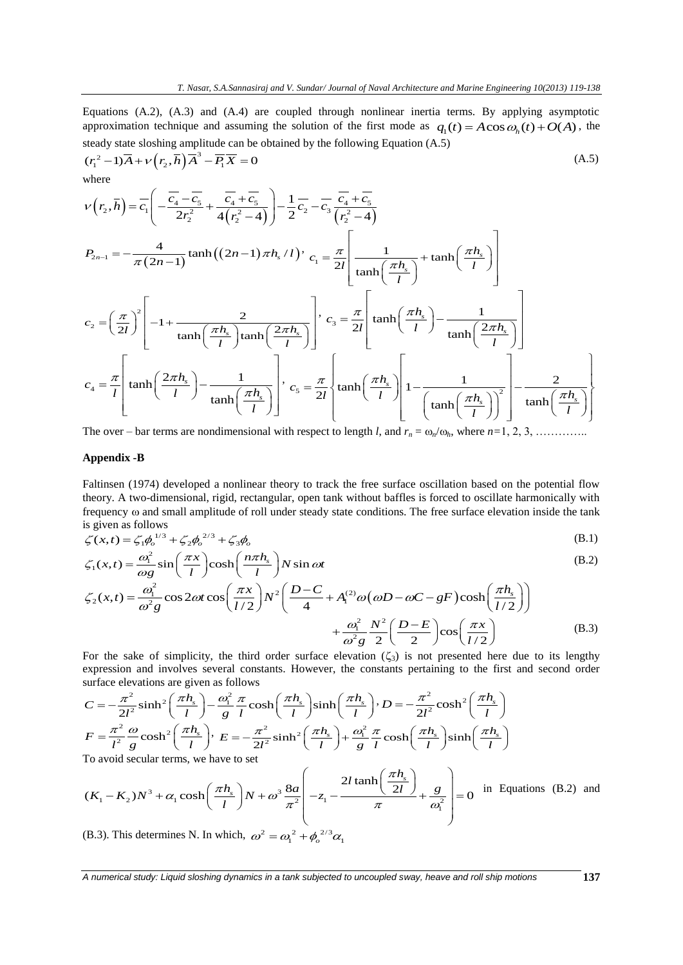Equations (A.2), (A.3) and (A.4) are coupled through nonlinear inertia terms. By applying asymptotic Equations (A.2), (A.3) and (A.4) are coupled through nonlinear inertia terms. By applying asymptotic approximation technique and assuming the solution of the first mode as  $q_1(t) = A \cos \omega_h(t) + O(A)$ , the

steady state sloshing amplitude can be obtained by the following Equation (A.5)  
\n
$$
(r_1^2 - 1)\overline{A} + \nu(r_2, \overline{h})\overline{A}^3 - \overline{P_1}X = 0
$$
\nwhere  
\n
$$
\nu(r_2, \overline{h}) = \overline{c_1} \left( -\frac{\overline{c_4} - \overline{c_5}}{2r_2^2} + \frac{\overline{c_4} + \overline{c_5}}{4(r_2^2 - 4)} \right) - \frac{1}{2}\overline{c_2} - \overline{c_3} \frac{\overline{c_4} + \overline{c_5}}{(r_2^2 - 4)}
$$
\n
$$
P_{2n-1} = -\frac{4}{\pi(2n-1)} \tanh((2n-1)\pi h_s/l) \cdot c_1 = \frac{\pi}{2l} \left[ \frac{1}{\tanh(\frac{\pi h_s}{l})} + \tanh(\frac{\pi h_s}{l}) \right]
$$
\n
$$
c_2 = \left( \frac{\pi}{2l} \right)^2 \left[ -1 + \frac{2}{\tanh(\frac{\pi h_s}{l}) \tanh(\frac{2\pi h_s}{l})} \right] \cdot c_3 = \frac{\pi}{2l} \left[ \tanh(\frac{\pi h_s}{l}) - \frac{1}{\tanh(\frac{2\pi h_s}{l})} \right]
$$
\n
$$
c_4 = \frac{\pi}{l} \left[ \tanh\left( \frac{2\pi h_s}{l} \right) - \frac{1}{\tanh(\frac{\pi h_s}{l})} \right] \cdot c_5 = \frac{\pi}{2l} \left[ \tanh(\frac{\pi h_s}{l}) \left[ 1 - \frac{1}{\left( \tanh(\frac{\pi h_s}{l}) \right)^2} \right] - \frac{2}{\tanh(\frac{\pi h_s}{l})} \right]
$$
\nThe curve is not terms are no-dimensional with repeated t least t least  $l$  and  $t = 0$  (a) where  $n = 1, 2, 3$ .

The over – bar terms are nondimensional with respect to length *l*, and *r<sup>n</sup>* = *n*/*h*, where *n=*1, 2, 3, …………..

#### **Appendix -B**

Faltinsen (1974) developed a nonlinear theory to track the free surface oscillation based on the potential flow theory. A two-dimensional, rigid, rectangular, open tank without baffles is forced to oscillate harmonically with frequency  $\omega$  and small amplitude of roll under steady state conditions. The free surface elevation inside the tank

is given as follows  
\n
$$
\zeta(x,t) = \zeta_1 \phi_o^{1/3} + \zeta_2 \phi_o^{2/3} + \zeta_3 \phi_o
$$
\n
$$
\zeta_1(x,t) = \frac{\omega_1^2}{\omega_1} \sin\left(\frac{\pi x}{\omega_1}\right) \cosh\left(\frac{n\pi h_s}{\omega_1}\right) N \sin \omega t
$$
\n(B.2)

$$
\zeta(x,t) = \zeta_1 \phi_0^{1/3} + \zeta_2 \phi_0^{2/3} + \zeta_3 \phi_0
$$
\n(B.1)  
\n
$$
\zeta_1(x,t) = \frac{\omega_1^2}{\omega g} \sin\left(\frac{\pi x}{l}\right) \cosh\left(\frac{n\pi h_s}{l}\right) N \sin \omega t
$$
\n(B.2)  
\n
$$
\zeta_2(x,t) = \frac{\omega_1^2}{\omega_2^2 g} \cos 2\omega t \cos\left(\frac{\pi x}{l/2}\right) N^2 \left(\frac{D-C}{4} + A_1^{(2)} \omega \left(\omega D - \omega C - gF\right) \cosh\left(\frac{\pi h_s}{l/2}\right)\right)
$$

$$
\zeta(x,t) = \zeta_1 \phi_o^{1/3} + \zeta_2 \phi_o^{2/3} + \zeta_3 \phi_o
$$
\n(B.1)  
\n
$$
\zeta_1(x,t) = \frac{\omega_1^2}{\omega g} \sin\left(\frac{\pi x}{l}\right) \cosh\left(\frac{n\pi h_s}{l}\right) N \sin \omega t
$$
\n(B.2)  
\n
$$
\zeta_2(x,t) = \frac{\omega_1^2}{\omega^2 g} \cos 2\omega t \cos\left(\frac{\pi x}{l/2}\right) N^2 \left(\frac{D-C}{4} + A_1^{(2)} \omega \left(\omega D - \omega C - gF\right) \cosh\left(\frac{\pi h_s}{l/2}\right)\right)
$$
\n
$$
+ \frac{\omega_1^2}{\omega^2 g} \frac{N^2}{2} \left(\frac{D-E}{2}\right) \cos\left(\frac{\pi x}{l/2}\right)
$$
\n(B.3)

For the sake of simplicity, the third order surface elevation  $(\zeta_3)$  is not presented here due to its lengthy

expression and involves several constants. However, the constants pertaining to the first and second order  
\nsurface elevations are given as follows  
\n
$$
C = -\frac{\pi^2}{2l^2} \sinh^2 \left(\frac{\pi h_s}{l}\right) - \frac{\omega_l^2}{g} \frac{\pi}{l} \cosh \left(\frac{\pi h_s}{l}\right) \sinh \left(\frac{\pi h_s}{l}\right), D = -\frac{\pi^2}{2l^2} \cosh^2 \left(\frac{\pi h_s}{l}\right)
$$
\n
$$
F = \frac{\pi^2}{l^2} \frac{\omega}{g} \cosh^2 \left(\frac{\pi h_s}{l}\right), E = -\frac{\pi^2}{2l^2} \sinh^2 \left(\frac{\pi h_s}{l}\right) + \frac{\omega_l^2}{g} \frac{\pi}{l} \cosh \left(\frac{\pi h_s}{l}\right) \sinh \left(\frac{\pi h_s}{l}\right)
$$
\nTo avoid secular terms, we have to set  
\n
$$
(K - K)N^3 + \alpha \cosh \left(\frac{\pi h_s}{l}\right)N + \omega^3 \frac{8a}{l} \left(-z - \frac{2l \tanh \left(\frac{\pi h_s}{2l}\right)}{l} + \frac{g}{l} - 0
$$
in Equations (B.2) and

$$
F = \frac{\pi^2}{l^2} \frac{\omega}{g} \cosh^2\left(\frac{\pi h_s}{l}\right), \ E = -\frac{\pi^2}{2l^2} \sinh^2\left(\frac{\pi h_s}{l}\right) + \frac{\omega_l^2}{g} \frac{\pi}{l} \cosh\left(\frac{\pi h_s}{l}\right) \sinh\left(\frac{\pi h_s}{l}\right)
$$
  
To avoid secular terms, we have to set  

$$
(K_1 - K_2)N^3 + \alpha_1 \cosh\left(\frac{\pi h_s}{l}\right)N + \omega^3 \frac{8a}{\pi^2} \left(-z_1 - \frac{2l \tanh\left(\frac{\pi h_s}{2l}\right)}{\pi} + \frac{g}{\omega_l^2}\right) = 0
$$
in Equations (B.2) and  
(B.3) This determines N. In which  $\omega_l^2 = \omega_l^2 + \phi_l^{2/3} \alpha$ .

(B.3). This determines N. In which,  $\omega^2 = \omega_1^2 + \phi_0^2 \alpha_1$